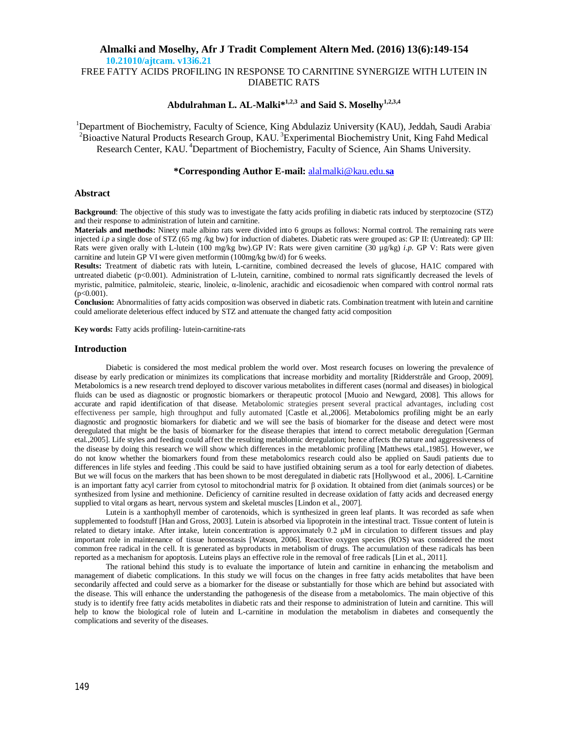FREE FATTY ACIDS PROFILING IN RESPONSE TO CARNITINE SYNERGIZE WITH LUTEIN IN DIABETIC RATS

# **Abdulrahman L. AL-Malki\*1,2,3 and Said S. Moselhy1,2,3,4**

<sup>1</sup>Department of Biochemistry, Faculty of Science, King Abdulaziz University (KAU), Jeddah, Saudi Arabia. <sup>2</sup> Bioactive Natural Products Research Group, KAU.<sup>3</sup> Experimental Biochemistry Unit, King Fahd Medical Research Center, KAU. <sup>4</sup>Department of Biochemistry, Faculty of Science, Ain Shams University.

### **\*Corresponding Author E-mail:** alalmalki@kau.edu.**sa**

### **Abstract**

**Background**: The objective of this study was to investigate the fatty acids profiling in diabetic rats induced by sterptozocine (STZ) and their response to administration of lutein and carnitine.

**Materials and methods:** Ninety male albino rats were divided into 6 groups as follows: Normal control. The remaining rats were injected *i.p* a single dose of STZ (65 mg /kg bw) for induction of diabetes. Diabetic rats were grouped as: GP II: (Untreated): GP III: Rats were given orally with L-lutein (100 mg/kg bw).GP IV: Rats were given carnitine (30 µg/kg) *i.p*. GP V: Rats were given carnitine and lutein GP VI were given metformin (100mg/kg bw/d) for 6 weeks.

**Results:** Treatment of diabetic rats with lutein, L-carnitine, combined decreased the levels of glucose, HA1C compared with untreated diabetic (p<0.001). Administration of L-lutein, carnitine, combined to normal rats significantly decreased the levels of myristic, palmitice, palmitoleic, stearic, linoleic, α-linolenic, arachidic and eicosadienoic when compared with control normal rats  $(p<0.001)$ .

**Conclusion:** Abnormalities of fatty acids composition was observed in diabetic rats. Combination treatment with lutein and carnitine could ameliorate deleterious effect induced by STZ and attenuate the changed fatty acid composition

**Key words:** Fatty acids profiling- lutein-carnitine-rats

#### **Introduction**

Diabetic is considered the most medical problem the world over. Most research focuses on lowering the prevalence of disease by early predication or minimizes its complications that increase morbidity and mortality [Ridderstråle and Groop, 2009]. Metabolomics is a new research trend deployed to discover various metabolites in different cases (normal and diseases) in biological fluids can be used as diagnostic or prognostic biomarkers or therapeutic protocol [Muoio and Newgard, 2008]. This allows for accurate and rapid identification of that disease. Metabolomic strategies present several practical advantages, including cost effectiveness per sample, high throughput and fully automated [Castle et al.,2006]. Metabolomics profiling might be an early diagnostic and prognostic biomarkers for diabetic and we will see the basis of biomarker for the disease and detect were most deregulated that might be the basis of biomarker for the disease therapies that intend to correct metabolic deregulation [German etal.,2005]. Life styles and feeding could affect the resulting metablomic deregulation; hence affects the nature and aggressiveness of the disease by doing this research we will show which differences in the metablomic profiling [Matthews etal.,1985]. However, we do not know whether the biomarkers found from these metabolomics research could also be applied on Saudi patients due to differences in life styles and feeding .This could be said to have justified obtaining serum as a tool for early detection of diabetes. But we will focus on the markers that has been shown to be most deregulated in diabetic rats [Hollywood et al., 2006]. L-Carnitine is an important fatty acyl carrier from cytosol to mitochondrial matrix for β oxidation. It obtained from diet (animals sources) or be synthesized from lysine and methionine. Deficiency of carnitine resulted in decrease oxidation of fatty acids and decreased energy supplied to vital organs as heart, nervous system and skeletal muscles [Lindon et al., 2007].

Lutein is a xanthophyll member of carotenoids, which is synthesized in green leaf plants. It was recorded as safe when supplemented to foodstuff [Han and Gross, 2003]. Lutein is absorbed via lipoprotein in the intestinal tract. Tissue content of lutein is related to dietary intake. After intake, lutein concentration is approximately 0.2 μM in circulation to different tissues and play important role in maintenance of tissue homeostasis [Watson, 2006]. Reactive oxygen species (ROS) was considered the most common free radical in the cell. It is generated as byproducts in metabolism of drugs. The accumulation of these radicals has been reported as a mechanism for apoptosis. Luteins plays an effective role in the removal of free radicals [Lin et al., 2011].

The rational behind this study is to evaluate the importance of lutein and carnitine in enhancing the metabolism and management of diabetic complications. In this study we will focus on the changes in free fatty acids metabolites that have been secondarily affected and could serve as a biomarker for the disease or substantially for those which are behind but associated with the disease. This will enhance the understanding the pathogenesis of the disease from a metabolomics. The main objective of this study is to identify free fatty acids metabolites in diabetic rats and their response to administration of lutein and carnitine. This will help to know the biological role of lutein and L-carnitine in modulation the metabolism in diabetes and consequently the complications and severity of the diseases.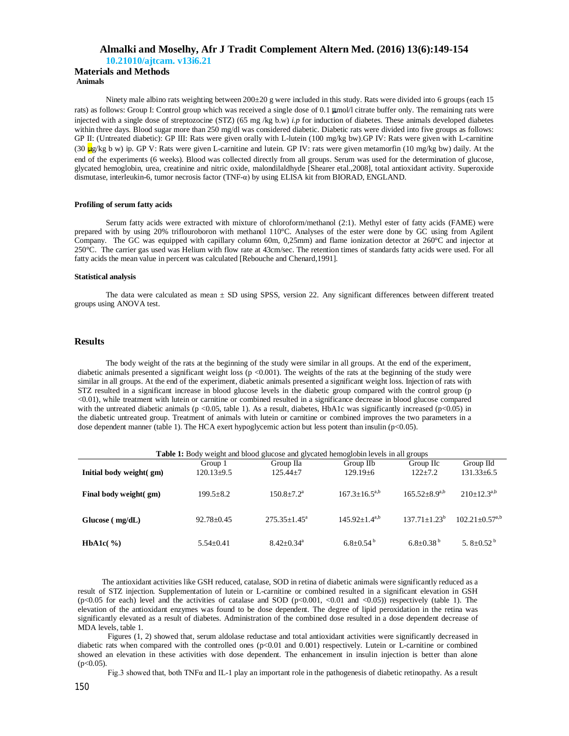# **Almalki and Moselhy, Afr J Tradit Complement Altern Med. (2016) 13(6):149-154**

**10.21010/ajtcam. v13i6.21**

#### **Materials and Methods Animals**

Ninety male albino rats weighting between 200±20 g were included in this study. Rats were divided into 6 groups (each 15 rats) as follows: Group I: Control group which was received a single dose of 0.1 mol/l citrate buffer only. The remaining rats were injected with a single dose of streptozocine (STZ) (65 mg /kg b.w) *i.p* for induction of diabetes. These animals developed diabetes within three days. Blood sugar more than 250 mg/dl was considered diabetic. Diabetic rats were divided into five groups as follows: GP II: (Untreated diabetic): GP III: Rats were given orally with L-lutein (100 mg/kg bw).GP IV: Rats were given with L-carnitine (30  $\mu$ g/kg b w) ip. GP V: Rats were given L-carnitine and lutein. GP IV: rats were given metamorfin (10 mg/kg bw) daily. At the end of the experiments (6 weeks). Blood was collected directly from all groups. Serum was used for the determination of glucose, glycated hemoglobin, urea, creatinine and nitric oxide, malondilaldhyde [Shearer etal.,2008], total antioxidant activity. Superoxide dismutase, interleukin-6, tumor necrosis factor (TNF-α) by using ELISA kit from BIORAD, ENGLAND.

#### **Profiling of serum fatty acids**

Serum fatty acids were extracted with mixture of chloroform/methanol (2:1). Methyl ester of fatty acids (FAME) were prepared with by using 20% triflouroboron with methanol 110°C. Analyses of the ester were done by GC using from Agilent Company. The GC was equipped with capillary column 60m, 0,25mm) and flame ionization detector at 260°C and injector at 250°C. The carrier gas used was Helium with flow rate at 43cm/sec. The retention times of standards fatty acids were used. For all fatty acids the mean value in percent was calculated [Rebouche and Chenard,1991].

#### **Statistical analysis**

The data were calculated as mean ± SD using SPSS, version 22. Any significant differences between different treated groups using ANOVA test.

## **Results**

The body weight of the rats at the beginning of the study were similar in all groups. At the end of the experiment, diabetic animals presented a significant weight loss (p <0.001). The weights of the rats at the beginning of the study were similar in all groups. At the end of the experiment, diabetic animals presented a significant weight loss. Injection of rats with STZ resulted in a significant increase in blood glucose levels in the diabetic group compared with the control group (p <0.01), while treatment with lutein or carnitine or combined resulted in a significance decrease in blood glucose compared with the untreated diabetic animals ( $p$  <0.05, table 1). As a result, diabetes, HbA1c was significantly increased ( $p$  <0.05) in the diabetic untreated group. Treatment of animals with lutein or carnitine or combined improves the two parameters in a dose dependent manner (table 1). The HCA exert hypoglycemic action but less potent than insulin (p<0.05).

| <b>Table 1:</b> Body weight and blood glucose and glycated hemoglobin levels in all groups |                 |                              |                        |                      |                              |  |  |  |
|--------------------------------------------------------------------------------------------|-----------------|------------------------------|------------------------|----------------------|------------------------------|--|--|--|
|                                                                                            | Group 1         | Group IIa                    | Group IIb              | Group IIc            | Group IId                    |  |  |  |
| Initial body weight( gm)                                                                   | 120.13±9.5      | $125.44 + 7$                 | $129.19 + 6$           | $122 + 7.2$          | $131.33\pm 6.5$              |  |  |  |
|                                                                                            |                 |                              |                        |                      |                              |  |  |  |
| Final body weight( gm)                                                                     | $199.5 + 8.2$   | $150.8 + 7.2^a$              | $167.3 \pm 16.5^{a,b}$ | $165.52 + 8.9^{a,b}$ | $210+12.3^{a,b}$             |  |  |  |
|                                                                                            |                 |                              |                        |                      |                              |  |  |  |
| Glucose (mg/dL)                                                                            | $92.78 + 0.45$  | $275.35 + 1.45^{\circ}$      | $145.92+1.4^{a,b}$     | $137.71 + 1.23^b$    | $102.21 + 0.57^{a,b}$        |  |  |  |
|                                                                                            |                 |                              |                        |                      |                              |  |  |  |
| <b>HbA1c</b> $(\%)$                                                                        | $5.54 \pm 0.41$ | $8.42 \pm 0.34$ <sup>a</sup> | $6.8 + 0.54^b$         | $6.8 + 0.38^{b}$     | 5. $8 \pm 0.52$ <sup>b</sup> |  |  |  |
|                                                                                            |                 |                              |                        |                      |                              |  |  |  |

The antioxidant activities like GSH reduced, catalase, SOD in retina of diabetic animals were significantly reduced as a result of STZ injection. Supplementation of lutein or L-carnitine or combined resulted in a significant elevation in GSH (p<0.05 for each) level and the activities of catalase and SOD (p<0.001, <0.01 and <0.05)) respectively (table 1). The elevation of the antioxidant enzymes was found to be dose dependent. The degree of lipid peroxidation in the retina was significantly elevated as a result of diabetes. Administration of the combined dose resulted in a dose dependent decrease of MDA levels, table 1.

Figures (1, 2) showed that, serum aldolase reductase and total antioxidant activities were significantly decreased in diabetic rats when compared with the controlled ones (p<0.01 and 0.001) respectively. Lutein or L-carnitine or combined showed an elevation in these activities with dose dependent. The enhancement in insulin injection is better than alone  $(p<0.05)$ .

Fig.3 showed that, both TNFα and IL-1 play an important role in the pathogenesis of diabetic retinopathy. As a result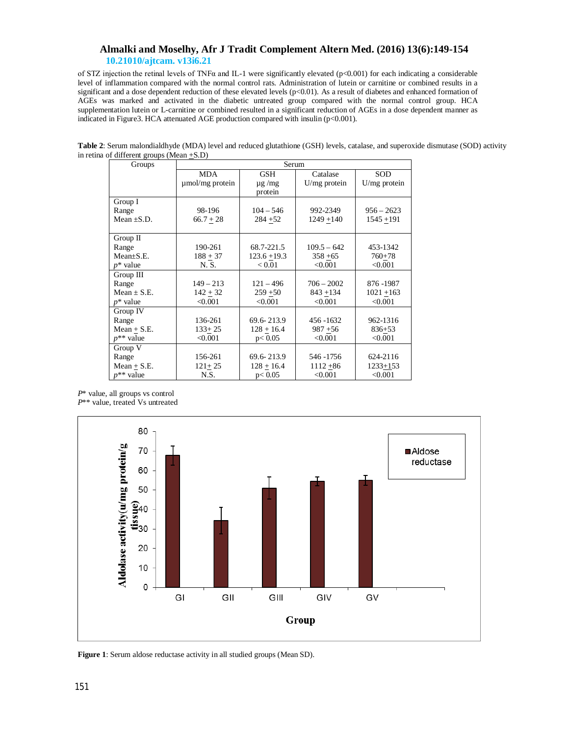of STZ injection the retinal levels of TNF $\alpha$  and IL-1 were significantly elevated (p<0.001) for each indicating a considerable level of inflammation compared with the normal control rats. Administration of lutein or carnitine or combined results in a significant and a dose dependent reduction of these elevated levels (p<0.01). As a result of diabetes and enhanced formation of AGEs was marked and activated in the diabetic untreated group compared with the normal control group. HCA supplementation lutein or L-carnitine or combined resulted in a significant reduction of AGEs in a dose dependent manner as indicated in Figure3. HCA attenuated AGE production compared with insulin (p<0.001).

**Table 2**: Serum malondialdhyde (MDA) level and reduced glutathione (GSH) levels, catalase, and superoxide dismutase (SOD) activity in retina of different groups (Mean +S.D)

| Groups          | Serum           |                |                |              |  |  |  |
|-----------------|-----------------|----------------|----------------|--------------|--|--|--|
|                 | MDA             | <b>GSH</b>     | Catalase       | SOD          |  |  |  |
|                 | umol/mg protein | $\mu$ g /mg    | $U/mg$ protein | U/mg protein |  |  |  |
|                 |                 | protein        |                |              |  |  |  |
| Group I         |                 |                |                |              |  |  |  |
| Range           | 98-196          | $104 - 546$    | 992-2349       | $956 - 2623$ |  |  |  |
| Mean $\pm$ S.D. | $66.7 + 28$     | $284 + 52$     | $1249 + 140$   | $1545 + 191$ |  |  |  |
|                 |                 |                |                |              |  |  |  |
| $Group$ II      |                 |                |                |              |  |  |  |
| Range           | 190-261         | 68.7-221.5     | $109.5 - 642$  | 453-1342     |  |  |  |
| $Mean \pm S.E.$ | $188 + 37$      | $123.6 + 19.3$ | $358 + 65$     | $760 + 78$   |  |  |  |
| $p^*$ value     | N. S.           | < 0.01         | < 0.001        | < 0.001      |  |  |  |
| Group III       |                 |                |                |              |  |  |  |
| Range           | $149 - 213$     | $121 - 496$    | $706 - 2002$   | 876 - 1987   |  |  |  |
| Mean $\pm$ S.E. | $142 + 32$      | $259 + 50$     | $843 + 134$    | $1021 + 163$ |  |  |  |
| $p^*$ value     | < 0.001         | < 0.001        | < 0.001        | < 0.001      |  |  |  |
| Group IV        |                 |                |                |              |  |  |  |
| Range           | 136-261         | 69.6-213.9     | 456 - 1632     | 962-1316     |  |  |  |
| $Mean + S.E.$   | $133+25$        | $128 + 16.4$   | $987 + 56$     | $836 + 53$   |  |  |  |
| $p^{**}$ value  | < 0.001         | p < 0.05       | < 0.001        | < 0.001      |  |  |  |
| Group V         |                 |                |                |              |  |  |  |
| Range           | 156-261         | 69.6-213.9     | 546 - 1756     | 624-2116     |  |  |  |
| $Mean + S.E.$   | $121 + 25$      | $128 + 16.4$   | $1112 + 86$    | $1233 + 153$ |  |  |  |
| $p^{**}$ value  | N.S.            | p < 0.05       | < 0.001        | < 0.001      |  |  |  |

*P*\* value, all groups vs control *P*\*\* value, treated Vs untreated



**Figure 1**: Serum aldose reductase activity in all studied groups (Mean SD).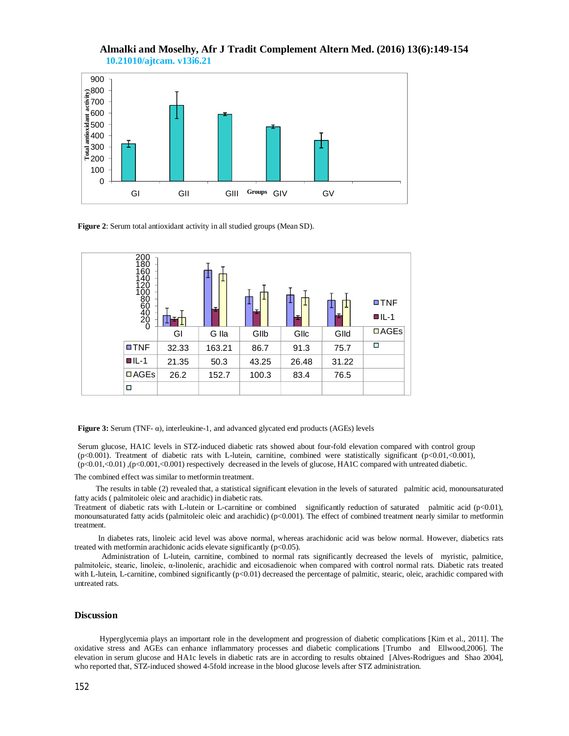

**Figure 2**: Serum total antioxidant activity in all studied groups (Mean SD).



**Figure 3:** Serum (TNF- α), interleukine-1, and advanced glycated end products (AGEs) levels

Serum glucose, HA1C levels in STZ-induced diabetic rats showed about four-fold elevation compared with control group (p<0.001). Treatment of diabetic rats with L-lutein, carnitine, combined were statistically significant (p<0.01,<0.001), (p<0.01,<0.01) ,(p<0.001,<0.001) respectively decreased in the levels of glucose, HA1C compared with untreated diabetic.

The combined effect was similar to metformin treatment.

 The results in table (2) revealed that, a statistical significant elevation in the levels of saturated palmitic acid, monounsaturated fatty acids ( palmitoleic oleic and arachidic) in diabetic rats.

Treatment of diabetic rats with L-lutein or L-carnitine or combined significantly reduction of saturated palmitic acid (p<0.01), monounsaturated fatty acids (palmitoleic oleic and arachidic) (p<0.001). The effect of combined treatment nearly similar to metformin treatment.

In diabetes rats, linoleic acid level was above normal, whereas arachidonic acid was below normal. However, diabetics rats treated with metformin arachidonic acids elevate significantly  $(p<0.05)$ .

 Administration of L-lutein, carnitine, combined to normal rats significantly decreased the levels of myristic, palmitice, palmitoleic, stearic, linoleic, α-linolenic, arachidic and eicosadienoic when compared with control normal rats. Diabetic rats treated with L-lutein, L-carnitine, combined significantly ( $p<0.01$ ) decreased the percentage of palmitic, stearic, oleic, arachidic compared with untreated rats.

### **Discussion**

 Hyperglycemia plays an important role in the development and progression of diabetic complications [Kim et al., 2011]. The oxidative stress and AGEs can enhance inflammatory processes and diabetic complications [Trumbo and Ellwood,2006]. The elevation in serum glucose and HA1c levels in diabetic rats are in according to results obtained [Alves-Rodrigues and Shao 2004], who reported that, STZ-induced showed 4-5fold increase in the blood glucose levels after STZ administration.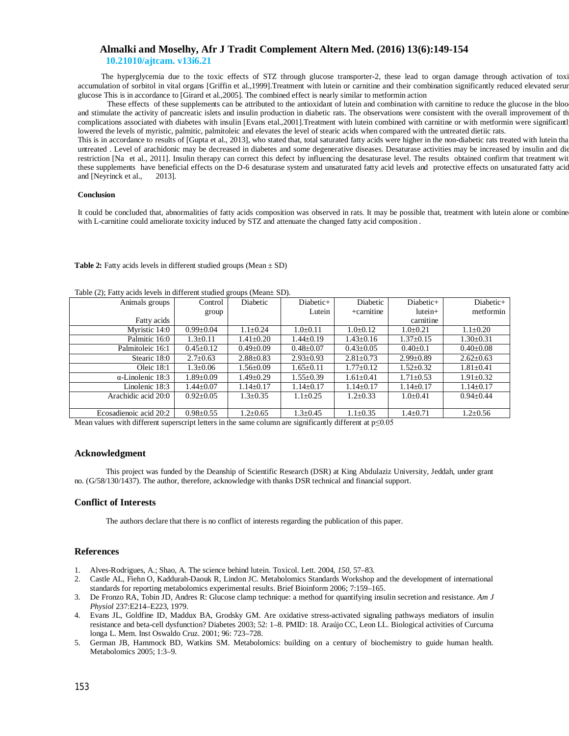The hyperglycemia due to the toxic effects of STZ through glucose transporter-2, these lead to organ damage through activation of toxic accumulation of sorbitol in vital organs [Griffin et al.,1999].Treatment with lutein or carnitine and their combination significantly reduced elevated serum glucose This is in accordance to [Girard et al.,2005]. The combined effect is nearly similar to metformin action

 These effects of these supplements can be attributed to the antioxidant of lutein and combination with carnitine to reduce the glucose in the blood and stimulate the activity of pancreatic islets and insulin production in diabetic rats. The observations were consistent with the overall improvement of the complications associated with diabetes with insulin [Evans etal.,2001].Treatment with lutein combined with carnitine or with metformin were significantl lowered the levels of myristic, palmitic, palmitoleic and elevates the level of stearic acids when compared with the untreated dietiic rats.

This is in accordance to results of [Gupta et al., 2013], who stated that, total saturated fatty acids were higher in the non-diabetic rats treated with lutein tha untreated . Level of arachidonic may be decreased in diabetes and some degenerative diseases. Desaturase activities may be increased by insulin and die restriction [Na et al., 2011]. Insulin therapy can correct this defect by influencing the desaturase level. The results obtained confirm that treatment with these supplements have beneficial effects on the D-6 desaturase system and unsaturated fatty acid levels and protective effects on unsaturated fatty acid and [Neyrinck et al., 2013].

### **Conclusion**

It could be concluded that, abnormalities of fatty acids composition was observed in rats. It may be possible that, treatment with lutein alone or combine with L-carnitine could ameliorate toxicity induced by STZ and attenuate the changed fatty acid composition .

### **Table 2:** Fatty acids levels in different studied groups (Mean  $\pm$  SD)

| $\sim$ $\sim$            |                 |                 |                 |                 |                 |                 |
|--------------------------|-----------------|-----------------|-----------------|-----------------|-----------------|-----------------|
| Animals groups           | Control         | Diabetic        | Diabetic+       | Diabetic        | Diabetic+       | Diabetic+       |
|                          | group           |                 | Lutein          | $+$ carnitine   | $lutein+$       | metformin       |
| Fatty acids              |                 |                 |                 |                 | carnitine       |                 |
| Myristic 14:0            | $0.99 \pm 0.04$ | $1.1 \pm 0.24$  | $1.0 \pm 0.11$  | $1.0 \pm 0.12$  | $1.0 \pm 0.21$  | $1.1 \pm 0.20$  |
| Palmitic 16:0            | $1.3 \pm 0.11$  | 1.41±0.20       | $1.44 \pm 0.19$ | $1.43 \pm 0.16$ | $1.37 \pm 0.15$ | $1.30 \pm 0.31$ |
| Palmitoleic 16:1         | $0.45 \pm 0.12$ | $0.49 \pm 0.09$ | $0.48 \pm 0.07$ | $0.43 \pm 0.05$ | $0.40 \pm 0.1$  | $0.40 \pm 0.08$ |
| Stearic 18:0             | $2.7 \pm 0.63$  | $2.88 \pm 0.83$ | $2.93 \pm 0.93$ | $2.81 \pm 0.73$ | $2.99 \pm 0.89$ | $2.62 \pm 0.63$ |
| Oleic $18:1$             | $1.3 \pm 0.06$  | 1.56±0.09       | $1.65 \pm 0.11$ | $1.77 \pm 0.12$ | $1.52 \pm 0.32$ | $1.81 \pm 0.41$ |
| $\alpha$ -Linolenic 18:3 | $1.89 \pm 0.09$ | $1.49 + 0.29$   | $1.55 \pm 0.39$ | $1.61 \pm 0.41$ | $1.71 \pm 0.53$ | $1.91 \pm 0.32$ |
| Linolenic 18:3           | $1.44 \pm 0.07$ | $1.14 \pm 0.17$ | $1.14 \pm 0.17$ | $1.14 \pm 0.17$ | $1.14 \pm 0.17$ | $1.14 \pm 0.17$ |
| Arachidic acid 20:0      | $0.92 \pm 0.05$ | $1.3 \pm 0.35$  | $1.1 \pm 0.25$  | $1.2 \pm 0.33$  | $1.0 \pm 0.41$  | $0.94 \pm 0.44$ |
|                          |                 |                 |                 |                 |                 |                 |
| Ecosadienoic acid 20:2   | $0.98 \pm 0.55$ | $1.2 \pm 0.65$  | $1.3 \pm 0.45$  | $1.1 \pm 0.35$  | $1.4 \pm 0.71$  | $1.2 \pm 0.56$  |

Table (2); Fatty acids levels in different studied groups (Mean± SD).

Mean values with different superscript letters in the same column are significantly different at  $p \le 0.05$ 

### **Acknowledgment**

This project was funded by the Deanship of Scientific Research (DSR) at King Abdulaziz University, Jeddah, under grant no. (G/58/130/1437). The author, therefore, acknowledge with thanks DSR technical and financial support.

### **Conflict of Interests**

The authors declare that there is no conflict of interests regarding the publication of this paper.

## **References**

- 1. Alves-Rodrigues, A.; Shao, A. The science behind lutein. Toxicol. Lett. 2004, *150*, 57–83.
- 2. Castle AL, Fiehn O, Kaddurah-Daouk R, Lindon JC. Metabolomics Standards Workshop and the development of international standards for reporting metabolomics experimental results. Brief Bioinform 2006; 7:159–165.
- 3. De Fronzo RA, Tobin JD, Andres R: Glucose clamp technique: a method for quantifying insulin secretion and resistance. *Am J Physiol* 237:E214–E223, 1979.
- 4. Evans JL, Goldfine ID, Maddux BA, Grodsky GM. Are oxidative stress-activated signaling pathways mediators of insulin resistance and beta-cell dysfunction? Diabetes 2003; 52: 1–8. PMID: 18. Araújo CC, Leon LL. Biological activities of Curcuma longa L. Mem. Inst Oswaldo Cruz. 2001; 96: 723–728.
- 5. German JB, Hammock BD, Watkins SM. Metabolomics: building on a century of biochemistry to guide human health. Metabolomics 2005; 1:3–9.